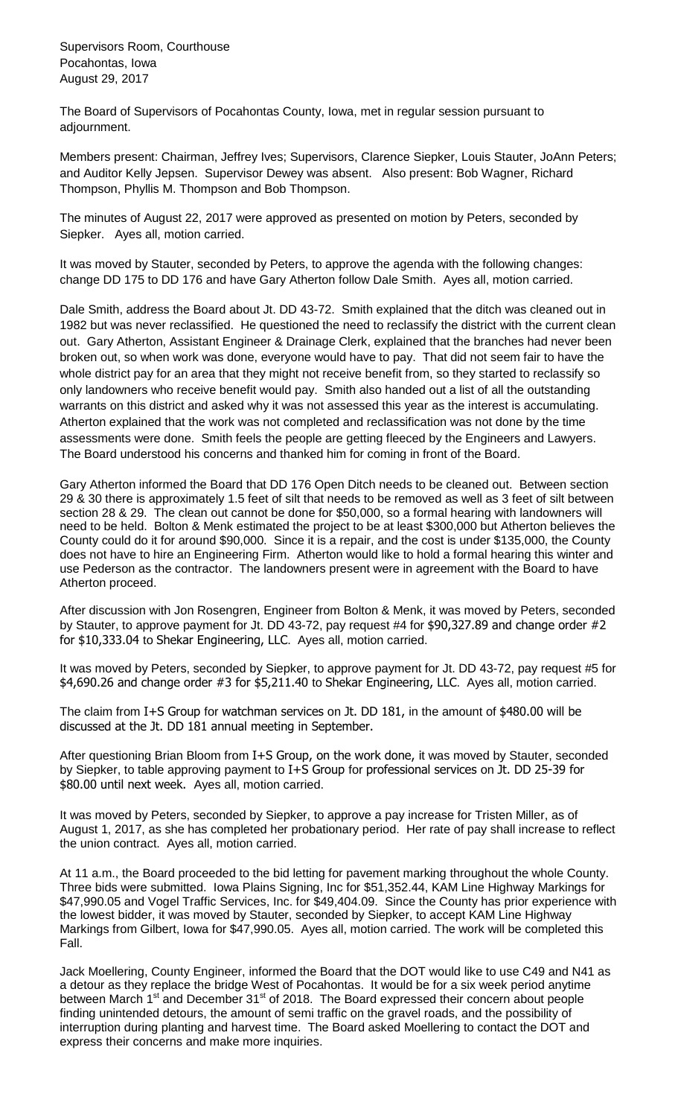Supervisors Room, Courthouse Pocahontas, Iowa August 29, 2017

The Board of Supervisors of Pocahontas County, Iowa, met in regular session pursuant to adjournment.

Members present: Chairman, Jeffrey Ives; Supervisors, Clarence Siepker, Louis Stauter, JoAnn Peters; and Auditor Kelly Jepsen. Supervisor Dewey was absent. Also present: Bob Wagner, Richard Thompson, Phyllis M. Thompson and Bob Thompson.

The minutes of August 22, 2017 were approved as presented on motion by Peters, seconded by Siepker. Ayes all, motion carried.

It was moved by Stauter, seconded by Peters, to approve the agenda with the following changes: change DD 175 to DD 176 and have Gary Atherton follow Dale Smith. Ayes all, motion carried.

Dale Smith, address the Board about Jt. DD 43-72. Smith explained that the ditch was cleaned out in 1982 but was never reclassified. He questioned the need to reclassify the district with the current clean out. Gary Atherton, Assistant Engineer & Drainage Clerk, explained that the branches had never been broken out, so when work was done, everyone would have to pay. That did not seem fair to have the whole district pay for an area that they might not receive benefit from, so they started to reclassify so only landowners who receive benefit would pay. Smith also handed out a list of all the outstanding warrants on this district and asked why it was not assessed this year as the interest is accumulating. Atherton explained that the work was not completed and reclassification was not done by the time assessments were done. Smith feels the people are getting fleeced by the Engineers and Lawyers. The Board understood his concerns and thanked him for coming in front of the Board.

Gary Atherton informed the Board that DD 176 Open Ditch needs to be cleaned out. Between section 29 & 30 there is approximately 1.5 feet of silt that needs to be removed as well as 3 feet of silt between section 28 & 29. The clean out cannot be done for \$50,000, so a formal hearing with landowners will need to be held. Bolton & Menk estimated the project to be at least \$300,000 but Atherton believes the County could do it for around \$90,000. Since it is a repair, and the cost is under \$135,000, the County does not have to hire an Engineering Firm. Atherton would like to hold a formal hearing this winter and use Pederson as the contractor. The landowners present were in agreement with the Board to have Atherton proceed.

After discussion with Jon Rosengren, Engineer from Bolton & Menk, it was moved by Peters, seconded by Stauter, to approve payment for Jt. DD 43-72, pay request #4 for \$90,327.89 and change order #2 for \$10,333.04 to Shekar Engineering, LLC. Ayes all, motion carried.

It was moved by Peters, seconded by Siepker, to approve payment for Jt. DD 43-72, pay request #5 for \$4,690.26 and change order #3 for \$5,211.40 to Shekar Engineering, LLC. Ayes all, motion carried.

The claim from I+S Group for watchman services on Jt. DD 181, in the amount of \$480.00 will be discussed at the Jt. DD 181 annual meeting in September.

After questioning Brian Bloom from I+S Group, on the work done, it was moved by Stauter, seconded by Siepker, to table approving payment to I+S Group for professional services on Jt. DD 25-39 for \$80.00 until next week. Ayes all, motion carried.

It was moved by Peters, seconded by Siepker, to approve a pay increase for Tristen Miller, as of August 1, 2017, as she has completed her probationary period. Her rate of pay shall increase to reflect the union contract. Ayes all, motion carried.

At 11 a.m., the Board proceeded to the bid letting for pavement marking throughout the whole County. Three bids were submitted. Iowa Plains Signing, Inc for \$51,352.44, KAM Line Highway Markings for \$47,990.05 and Vogel Traffic Services, Inc. for \$49,404.09. Since the County has prior experience with the lowest bidder, it was moved by Stauter, seconded by Siepker, to accept KAM Line Highway Markings from Gilbert, Iowa for \$47,990.05. Ayes all, motion carried. The work will be completed this Fall.

Jack Moellering, County Engineer, informed the Board that the DOT would like to use C49 and N41 as a detour as they replace the bridge West of Pocahontas. It would be for a six week period anytime between March 1<sup>st</sup> and December 31<sup>st</sup> of 2018. The Board expressed their concern about people finding unintended detours, the amount of semi traffic on the gravel roads, and the possibility of interruption during planting and harvest time. The Board asked Moellering to contact the DOT and express their concerns and make more inquiries.